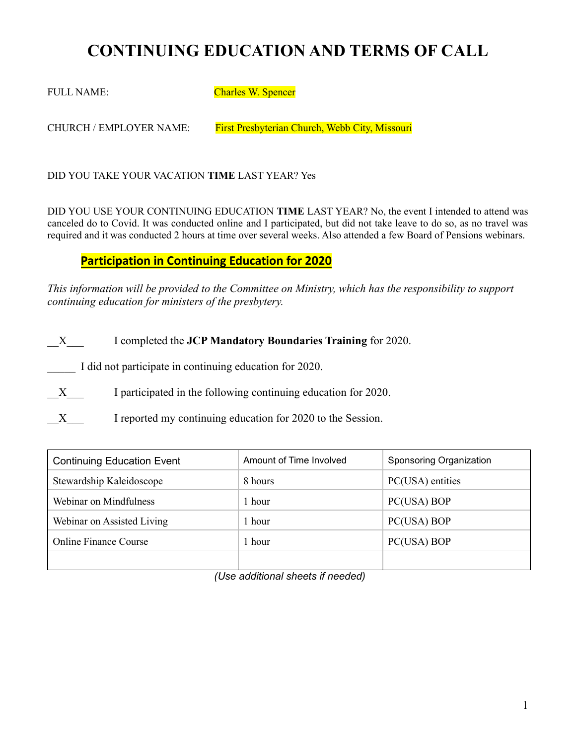# **CONTINUING EDUCATION AND TERMS OF CALL**

FULL NAME: Charles W. Spencer

CHURCH / EMPLOYER NAME: First Presbyterian Church, Webb City, Missouri

DID YOU TAKE YOUR VACATION **TIME** LAST YEAR? Yes

DID YOU USE YOUR CONTINUING EDUCATION **TIME** LAST YEAR? No, the event I intended to attend was canceled do to Covid. It was conducted online and I participated, but did not take leave to do so, as no travel was required and it was conducted 2 hours at time over several weeks. Also attended a few Board of Pensions webinars.

### **Participation in Continuing Education for 2020**

*This information will be provided to the Committee on Ministry, which has the responsibility to support continuing education for ministers of the presbytery.* 

\_\_X\_\_\_ I completed the **JCP Mandatory Boundaries Training** for 2020.

I did not participate in continuing education for 2020.

X I participated in the following continuing education for 2020.

X I reported my continuing education for 2020 to the Session.

| <b>Continuing Education Event</b> | Amount of Time Involved | Sponsoring Organization |
|-----------------------------------|-------------------------|-------------------------|
| Stewardship Kaleidoscope          | 8 hours                 | PC(USA) entities        |
| Webinar on Mindfulness            | 1 hour-                 | PC(USA) BOP             |
| Webinar on Assisted Living        | l hour                  | PC(USA) BOP             |
| <b>Online Finance Course</b>      | 1 hour                  | PC(USA) BOP             |
|                                   |                         |                         |

*(Use additional sheets if needed)*